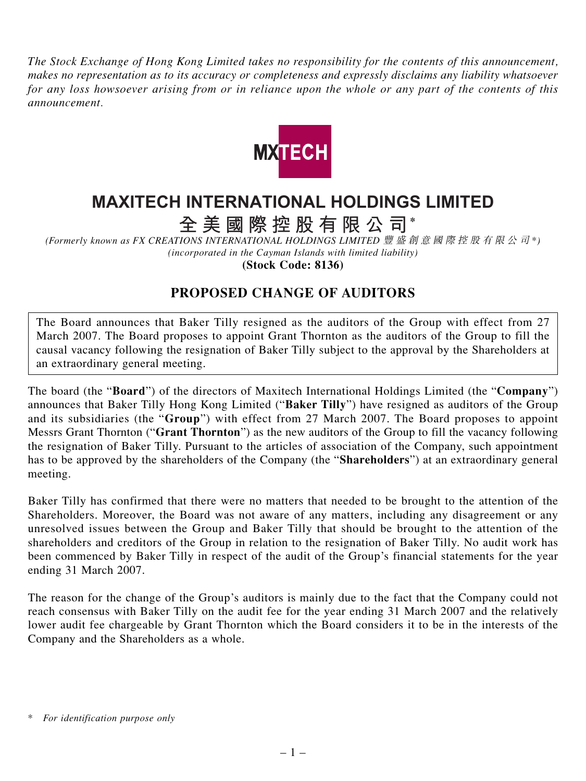*The Stock Exchange of Hong Kong Limited takes no responsibility for the contents of this announcement, makes no representation as to its accuracy or completeness and expressly disclaims any liability whatsoever for any loss howsoever arising from or in reliance upon the whole or any part of the contents of this announcement.*



## **MAXITECH INTERNATIONAL HOLDINGS LIMITED**

**全美國際控股有限公司 \***

*(Formerly known as FX CREATIONS INTERNATIONAL HOLDINGS LIMITED* 豐盛創意國際控股有限公司 *\*) (incorporated in the Cayman Islands with limited liability)*

**(Stock Code: 8136)**

## **PROPOSED CHANGE OF AUDITORS**

The Board announces that Baker Tilly resigned as the auditors of the Group with effect from 27 March 2007. The Board proposes to appoint Grant Thornton as the auditors of the Group to fill the causal vacancy following the resignation of Baker Tilly subject to the approval by the Shareholders at an extraordinary general meeting.

The board (the "**Board**") of the directors of Maxitech International Holdings Limited (the "**Company**") announces that Baker Tilly Hong Kong Limited ("**Baker Tilly**") have resigned as auditors of the Group and its subsidiaries (the "**Group**") with effect from 27 March 2007. The Board proposes to appoint Messrs Grant Thornton ("**Grant Thornton**") as the new auditors of the Group to fill the vacancy following the resignation of Baker Tilly. Pursuant to the articles of association of the Company, such appointment has to be approved by the shareholders of the Company (the "**Shareholders**") at an extraordinary general meeting.

Baker Tilly has confirmed that there were no matters that needed to be brought to the attention of the Shareholders. Moreover, the Board was not aware of any matters, including any disagreement or any unresolved issues between the Group and Baker Tilly that should be brought to the attention of the shareholders and creditors of the Group in relation to the resignation of Baker Tilly. No audit work has been commenced by Baker Tilly in respect of the audit of the Group's financial statements for the year ending 31 March 2007.

The reason for the change of the Group's auditors is mainly due to the fact that the Company could not reach consensus with Baker Tilly on the audit fee for the year ending 31 March 2007 and the relatively lower audit fee chargeable by Grant Thornton which the Board considers it to be in the interests of the Company and the Shareholders as a whole.

*<sup>\*</sup> For identification purpose only*